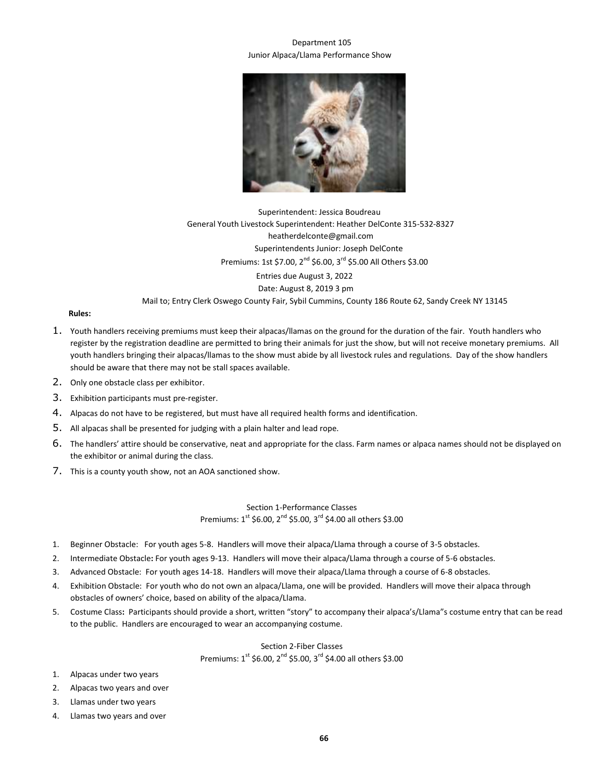## Department 105 Junior Alpaca/Llama Performance Show



Superintendent: Jessica Boudreau General Youth Livestock Superintendent: Heather DelConte 315-532-8327 heatherdelconte@gmail.com Superintendents Junior: Joseph DelConte Premiums: 1st \$7.00, 2<sup>nd</sup> \$6.00, 3<sup>rd</sup> \$5.00 All Others \$3.00 Entries due August 3, 2022 Date: August 8, 2019 3 pm Mail to; Entry Clerk Oswego County Fair, Sybil Cummins, County 186 Route 62, Sandy Creek NY 13145

## **Rules:**

- 1. Youth handlers receiving premiums must keep their alpacas/llamas on the ground for the duration of the fair. Youth handlers who register by the registration deadline are permitted to bring their animals for just the show, but will not receive monetary premiums. All youth handlers bringing their alpacas/llamas to the show must abide by all livestock rules and regulations. Day of the show handlers should be aware that there may not be stall spaces available.
- 2. Only one obstacle class per exhibitor.
- 3. Exhibition participants must pre-register.
- 4. Alpacas do not have to be registered, but must have all required health forms and identification.
- 5. All alpacas shall be presented for judging with a plain halter and lead rope.
- 6. The handlers' attire should be conservative, neat and appropriate for the class. Farm names or alpaca names should not be displayed on the exhibitor or animal during the class.
- 7. This is a county youth show, not an AOA sanctioned show.

Section 1-Performance Classes Premiums:  $1^{st}$  \$6.00,  $2^{nd}$  \$5.00,  $3^{rd}$  \$4.00 all others \$3.00

- 1. Beginner Obstacle:For youth ages 5-8. Handlers will move their alpaca/Llama through a course of 3-5 obstacles.
- 2. Intermediate Obstacle**:** For youth ages 9-13. Handlers will move their alpaca/Llama through a course of 5-6 obstacles.
- 3. Advanced Obstacle: For youth ages 14-18. Handlers will move their alpaca/Llama through a course of 6-8 obstacles.
- 4. Exhibition Obstacle:For youth who do not own an alpaca/Llama, one will be provided. Handlers will move their alpaca through obstacles of owners' choice, based on ability of the alpaca/Llama.
- 5. Costume Class**:** Participants should provide a short, written "story" to accompany their alpaca's/Llama"s costume entry that can be read to the public. Handlers are encouraged to wear an accompanying costume.

Section 2-Fiber Classes Premiums:  $1^{st}$  \$6.00,  $2^{nd}$  \$5.00,  $3^{rd}$  \$4.00 all others \$3.00

- 1. Alpacas under two years
- 2. Alpacas two years and over
- 3. Llamas under two years
- 4. Llamas two years and over